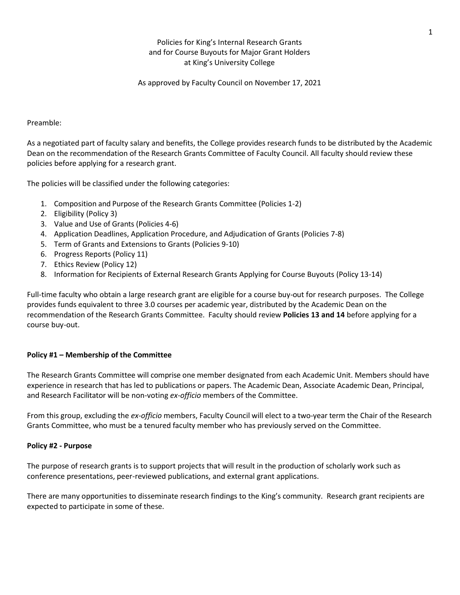# Policies for King's Internal Research Grants and for Course Buyouts for Major Grant Holders at King's University College

As approved by Faculty Council on November 17, 2021

## Preamble:

As a negotiated part of faculty salary and benefits, the College provides research funds to be distributed by the Academic Dean on the recommendation of the Research Grants Committee of Faculty Council. All faculty should review these policies before applying for a research grant.

The policies will be classified under the following categories:

- 1. Composition and Purpose of the Research Grants Committee (Policies 1-2)
- 2. Eligibility (Policy 3)
- 3. Value and Use of Grants (Policies 4-6)
- 4. Application Deadlines, Application Procedure, and Adjudication of Grants (Policies 7-8)
- 5. Term of Grants and Extensions to Grants (Policies 9-10)
- 6. Progress Reports (Policy 11)
- 7. Ethics Review (Policy 12)
- 8. Information for Recipients of External Research Grants Applying for Course Buyouts (Policy 13-14)

Full-time faculty who obtain a large research grant are eligible for a course buy-out for research purposes. The College provides funds equivalent to three 3.0 courses per academic year, distributed by the Academic Dean on the recommendation of the Research Grants Committee. Faculty should review **Policies 13 and 14** before applying for a course buy-out.

# **Policy #1 – Membership of the Committee**

The Research Grants Committee will comprise one member designated from each Academic Unit. Members should have experience in research that has led to publications or papers. The Academic Dean, Associate Academic Dean, Principal, and Research Facilitator will be non-voting *ex-officio* members of the Committee.

From this group, excluding the *ex-officio* members, Faculty Council will elect to a two-year term the Chair of the Research Grants Committee, who must be a tenured faculty member who has previously served on the Committee.

# **Policy #2 - Purpose**

The purpose of research grants is to support projects that will result in the production of scholarly work such as conference presentations, peer-reviewed publications, and external grant applications.

There are many opportunities to disseminate research findings to the King's community. Research grant recipients are expected to participate in some of these.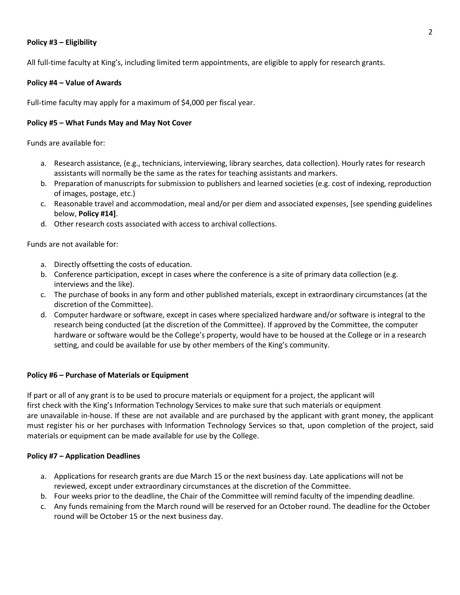# **Policy #3 – Eligibility**

All full-time faculty at King's, including limited term appointments, are eligible to apply for research grants.

## **Policy #4 – Value of Awards**

Full-time faculty may apply for a maximum of \$4,000 per fiscal year.

## **Policy #5 – What Funds May and May Not Cover**

Funds are available for:

- a. Research assistance, (e.g., technicians, interviewing, library searches, data collection). Hourly rates for research assistants will normally be the same as the rates for teaching assistants and markers.
- b. Preparation of manuscripts for submission to publishers and learned societies (e.g. cost of indexing, reproduction of images, postage, etc.)
- c. Reasonable travel and accommodation, meal and/or per diem and associated expenses, [see spending guidelines below, **Policy #14]**.
- d. Other research costs associated with access to archival collections.

Funds are not available for:

- a. Directly offsetting the costs of education.
- b. Conference participation, except in cases where the conference is a site of primary data collection (e.g. interviews and the like).
- c. The purchase of books in any form and other published materials, except in extraordinary circumstances (at the discretion of the Committee).
- d. Computer hardware or software, except in cases where specialized hardware and/or software is integral to the research being conducted (at the discretion of the Committee). If approved by the Committee, the computer hardware or software would be the College's property, would have to be housed at the College or in a research setting, and could be available for use by other members of the King's community.

# **Policy #6 – Purchase of Materials or Equipment**

If part or all of any grant is to be used to procure materials or equipment for a project, the applicant will first check with the King's Information Technology Services to make sure that such materials or equipment are unavailable in-house. If these are not available and are purchased by the applicant with grant money, the applicant must register his or her purchases with Information Technology Services so that, upon completion of the project, said materials or equipment can be made available for use by the College.

#### **Policy #7 – Application Deadlines**

- a. Applications for research grants are due March 15 or the next business day. Late applications will not be reviewed, except under extraordinary circumstances at the discretion of the Committee.
- b. Four weeks prior to the deadline, the Chair of the Committee will remind faculty of the impending deadline.
- c. Any funds remaining from the March round will be reserved for an October round. The deadline for the October round will be October 15 or the next business day.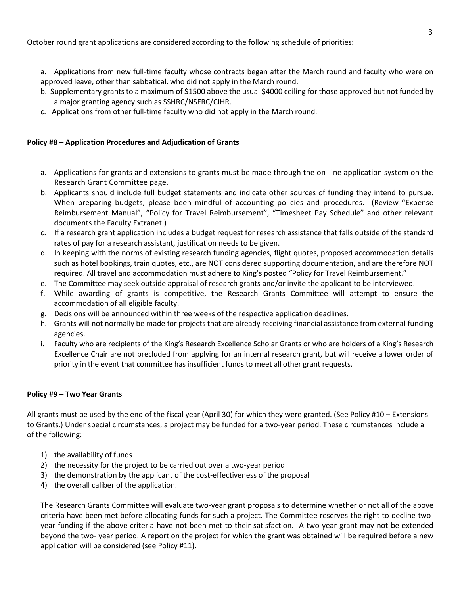October round grant applications are considered according to the following schedule of priorities:

a. Applications from new full-time faculty whose contracts began after the March round and faculty who were on approved leave, other than sabbatical, who did not apply in the March round.

- b. Supplementary grants to a maximum of \$1500 above the usual \$4000 ceiling for those approved but not funded by a major granting agency such as SSHRC/NSERC/CIHR.
- c. Applications from other full-time faculty who did not apply in the March round.

# **Policy #8 – Application Procedures and Adjudication of Grants**

- a. Applications for grants and extensions to grants must be made through the on-line application system on the Research Grant Committee page.
- b. Applicants should include full budget statements and indicate other sources of funding they intend to pursue. When preparing budgets, please been mindful of accounting policies and procedures. (Review "Expense Reimbursement Manual", "Policy for Travel Reimbursement", "Timesheet Pay Schedule" and other relevant documents the Faculty Extranet.)
- c. If a research grant application includes a budget request for research assistance that falls outside of the standard rates of pay for a research assistant, justification needs to be given.
- d. In keeping with the norms of existing research funding agencies, flight quotes, proposed accommodation details such as hotel bookings, train quotes, etc., are NOT considered supporting documentation, and are therefore NOT required. All travel and accommodation must adhere to King's posted "Policy for Travel Reimbursement."
- e. The Committee may seek outside appraisal of research grants and/or invite the applicant to be interviewed.
- f. While awarding of grants is competitive, the Research Grants Committee will attempt to ensure the accommodation of all eligible faculty.
- g. Decisions will be announced within three weeks of the respective application deadlines.
- h. Grants will not normally be made for projects that are already receiving financial assistance from external funding agencies.
- i. Faculty who are recipients of the King's Research Excellence Scholar Grants or who are holders of a King's Research Excellence Chair are not precluded from applying for an internal research grant, but will receive a lower order of priority in the event that committee has insufficient funds to meet all other grant requests.

# **Policy #9 – Two Year Grants**

All grants must be used by the end of the fiscal year (April 30) for which they were granted. (See Policy #10 – Extensions to Grants.) Under special circumstances, a project may be funded for a two-year period. These circumstances include all of the following:

- 1) the availability of funds
- 2) the necessity for the project to be carried out over a two-year period
- 3) the demonstration by the applicant of the cost-effectiveness of the proposal
- 4) the overall caliber of the application.

The Research Grants Committee will evaluate two-year grant proposals to determine whether or not all of the above criteria have been met before allocating funds for such a project. The Committee reserves the right to decline twoyear funding if the above criteria have not been met to their satisfaction. A two-year grant may not be extended beyond the two- year period. A report on the project for which the grant was obtained will be required before a new application will be considered (see Policy #11).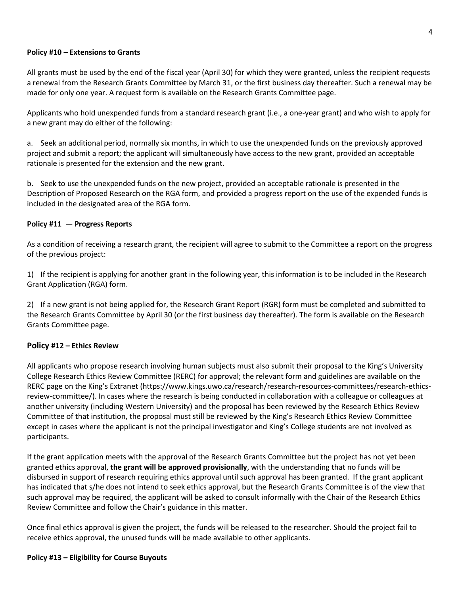## **Policy #10 – Extensions to Grants**

All grants must be used by the end of the fiscal year (April 30) for which they were granted, unless the recipient requests a renewal from the Research Grants Committee by March 31, or the first business day thereafter. Such a renewal may be made for only one year. A request form is available on the Research Grants Committee page.

Applicants who hold unexpended funds from a standard research grant (i.e., a one-year grant) and who wish to apply for a new grant may do either of the following:

a. Seek an additional period, normally six months, in which to use the unexpended funds on the previously approved project and submit a report; the applicant will simultaneously have access to the new grant, provided an acceptable rationale is presented for the extension and the new grant.

b. Seek to use the unexpended funds on the new project, provided an acceptable rationale is presented in the Description of Proposed Research on the RGA form, and provided a progress report on the use of the expended funds is included in the designated area of the RGA form.

# **Policy #11 — Progress Reports**

As a condition of receiving a research grant, the recipient will agree to submit to the Committee a report on the progress of the previous project:

1) If the recipient is applying for another grant in the following year, this information is to be included in the Research Grant Application (RGA) form.

2) If a new grant is not being applied for, the Research Grant Report (RGR) form must be completed and submitted to the Research Grants Committee by April 30 (or the first business day thereafter). The form is available on the Research Grants Committee page.

# **Policy #12 – Ethics Review**

All applicants who propose research involving human subjects must also submit their proposal to the King's University College Research Ethics Review Committee (RERC) for approval; the relevant form and guidelines are available on the RERC page on the King's Extranet [\(https://www.kings.uwo.ca/research/research-resources-committees/research-ethics](https://www.kings.uwo.ca/research/research-resources-committees/research-ethics-review-committee/)[review-committee/\)](https://www.kings.uwo.ca/research/research-resources-committees/research-ethics-review-committee/). In cases where the research is being conducted in collaboration with a colleague or colleagues at another university (including Western University) and the proposal has been reviewed by the Research Ethics Review Committee of that institution, the proposal must still be reviewed by the King's Research Ethics Review Committee except in cases where the applicant is not the principal investigator and King's College students are not involved as participants.

If the grant application meets with the approval of the Research Grants Committee but the project has not yet been granted ethics approval, **the grant will be approved provisionally**, with the understanding that no funds will be disbursed in support of research requiring ethics approval until such approval has been granted. If the grant applicant has indicated that s/he does not intend to seek ethics approval, but the Research Grants Committee is of the view that such approval may be required, the applicant will be asked to consult informally with the Chair of the Research Ethics Review Committee and follow the Chair's guidance in this matter.

Once final ethics approval is given the project, the funds will be released to the researcher. Should the project fail to receive ethics approval, the unused funds will be made available to other applicants.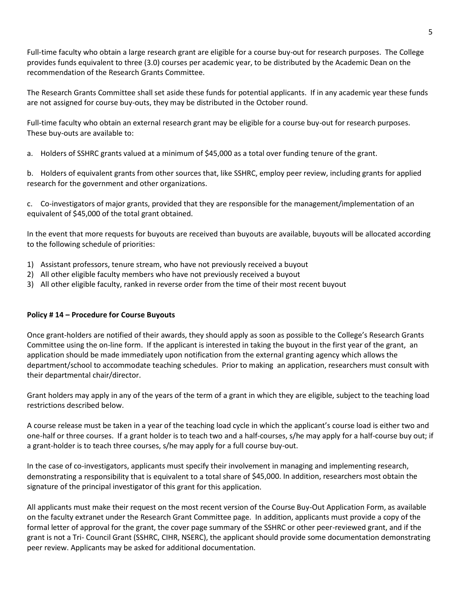Full-time faculty who obtain a large research grant are eligible for a course buy-out for research purposes. The College provides funds equivalent to three (3.0) courses per academic year, to be distributed by the Academic Dean on the recommendation of the Research Grants Committee.

The Research Grants Committee shall set aside these funds for potential applicants. If in any academic year these funds are not assigned for course buy-outs, they may be distributed in the October round.

Full-time faculty who obtain an external research grant may be eligible for a course buy-out for research purposes. These buy-outs are available to:

a. Holders of SSHRC grants valued at a minimum of \$45,000 as a total over funding tenure of the grant.

b. Holders of equivalent grants from other sources that, like SSHRC, employ peer review, including grants for applied research for the government and other organizations.

c. Co-investigators of major grants, provided that they are responsible for the management/implementation of an equivalent of \$45,000 of the total grant obtained.

In the event that more requests for buyouts are received than buyouts are available, buyouts will be allocated according to the following schedule of priorities:

- 1) Assistant professors, tenure stream, who have not previously received a buyout
- 2) All other eligible faculty members who have not previously received a buyout
- 3) All other eligible faculty, ranked in reverse order from the time of their most recent buyout

# **Policy # 14 – Procedure for Course Buyouts**

Once grant-holders are notified of their awards, they should apply as soon as possible to the College's Research Grants Committee using the on-line form. If the applicant is interested in taking the buyout in the first year of the grant, an application should be made immediately upon notification from the external granting agency which allows the department/school to accommodate teaching schedules. Prior to making an application, researchers must consult with their departmental chair/director.

Grant holders may apply in any of the years of the term of a grant in which they are eligible, subject to the teaching load restrictions described below.

A course release must be taken in a year of the teaching load cycle in which the applicant's course load is either two and one-half or three courses. If a grant holder is to teach two and a half-courses, s/he may apply for a half-course buy out; if a grant-holder is to teach three courses, s/he may apply for a full course buy-out.

In the case of co-investigators, applicants must specify their involvement in managing and implementing research, demonstrating a responsibility that is equivalent to a total share of \$45,000. In addition, researchers most obtain the signature of the principal investigator of this grant for this application.

All applicants must make their request on the most recent version of the Course Buy-Out Application Form, as available on the faculty extranet under the Research Grant Committee page. In addition, applicants must provide a copy of the formal letter of approval for the grant, the cover page summary of the SSHRC or other peer-reviewed grant, and if the grant is not a Tri- Council Grant (SSHRC, CIHR, NSERC), the applicant should provide some documentation demonstrating peer review. Applicants may be asked for additional documentation.